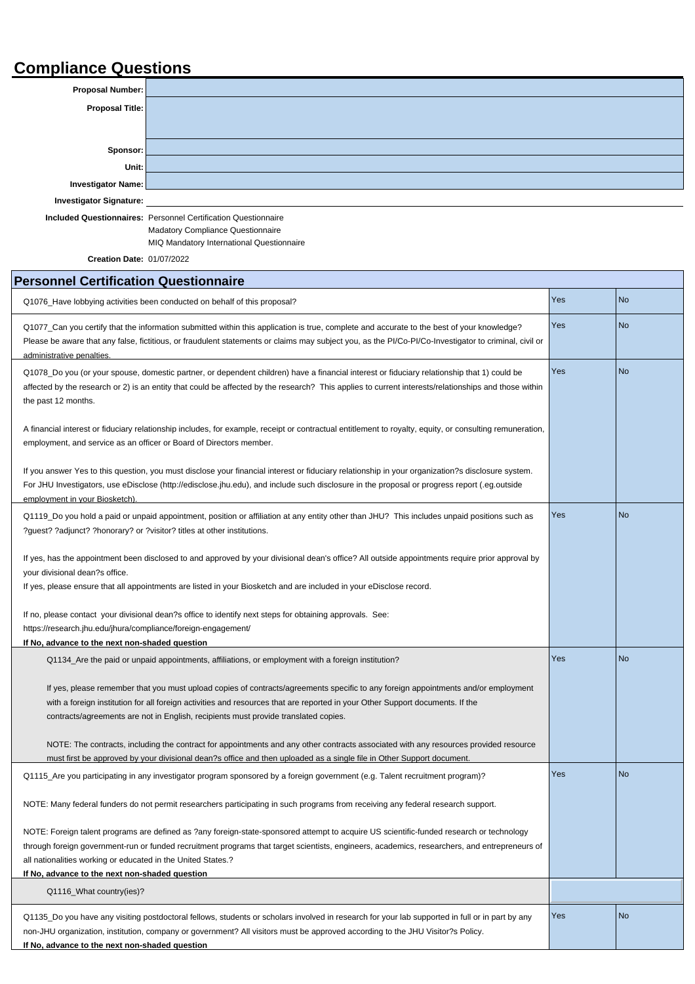## **Compliance Questions**

| <b>Proposal Number:</b>        |  |
|--------------------------------|--|
| Proposal Title:                |  |
|                                |  |
|                                |  |
| Sponsor:                       |  |
| Unit:                          |  |
| <b>Investigator Name:</b>      |  |
| <b>Investigator Signature:</b> |  |

**Included Questionnaires:** Personnel Certification Questionnaire Madatory Compliance Questionnaire MIQ Mandatory International Questionnaire

|  | <b>Creation Date: 01/07/2022</b> |
|--|----------------------------------|
|  |                                  |

## **Personnel Certification Questionnaire**

| Q1076_Have lobbying activities been conducted on behalf of this proposal?                                                                                                                                                                                                                                                                                                                                   | Yes | <b>No</b> |
|-------------------------------------------------------------------------------------------------------------------------------------------------------------------------------------------------------------------------------------------------------------------------------------------------------------------------------------------------------------------------------------------------------------|-----|-----------|
| Q1077_Can you certify that the information submitted within this application is true, complete and accurate to the best of your knowledge?<br>Please be aware that any false, fictitious, or fraudulent statements or claims may subject you, as the PI/Co-PI/Co-Investigator to criminal, civil or<br>administrative penalties.                                                                            | Yes | <b>No</b> |
| Q1078_Do you (or your spouse, domestic partner, or dependent children) have a financial interest or fiduciary relationship that 1) could be<br>affected by the research or 2) is an entity that could be affected by the research? This applies to current interests/relationships and those within<br>the past 12 months.                                                                                  | Yes | <b>No</b> |
| A financial interest or fiduciary relationship includes, for example, receipt or contractual entitlement to royalty, equity, or consulting remuneration,<br>employment, and service as an officer or Board of Directors member.                                                                                                                                                                             |     |           |
| If you answer Yes to this question, you must disclose your financial interest or fiduciary relationship in your organization?s disclosure system.<br>For JHU Investigators, use eDisclose (http://edisclose.jhu.edu), and include such disclosure in the proposal or progress report (.eg.outside<br>employment in your Biosketch).                                                                         |     |           |
| Q1119_Do you hold a paid or unpaid appointment, position or affiliation at any entity other than JHU? This includes unpaid positions such as<br>?guest? ?adjunct? ?honorary? or ?visitor? titles at other institutions.                                                                                                                                                                                     | Yes | <b>No</b> |
| If yes, has the appointment been disclosed to and approved by your divisional dean's office? All outside appointments require prior approval by<br>your divisional dean?s office.<br>If yes, please ensure that all appointments are listed in your Biosketch and are included in your eDisclose record.                                                                                                    |     |           |
| If no, please contact your divisional dean?s office to identify next steps for obtaining approvals. See:<br>https://research.jhu.edu/jhura/compliance/foreign-engagement/<br>If No, advance to the next non-shaded question                                                                                                                                                                                 |     |           |
| Q1134_Are the paid or unpaid appointments, affiliations, or employment with a foreign institution?                                                                                                                                                                                                                                                                                                          | Yes | <b>No</b> |
| If yes, please remember that you must upload copies of contracts/agreements specific to any foreign appointments and/or employment<br>with a foreign institution for all foreign activities and resources that are reported in your Other Support documents. If the<br>contracts/agreements are not in English, recipients must provide translated copies.                                                  |     |           |
| NOTE: The contracts, including the contract for appointments and any other contracts associated with any resources provided resource<br>must first be approved by your divisional dean?s office and then uploaded as a single file in Other Support document.                                                                                                                                               |     |           |
| Q1115_Are you participating in any investigator program sponsored by a foreign government (e.g. Talent recruitment program)?                                                                                                                                                                                                                                                                                | Yes | <b>No</b> |
| NOTE: Many federal funders do not permit researchers participating in such programs from receiving any federal research support.                                                                                                                                                                                                                                                                            |     |           |
| NOTE: Foreign talent programs are defined as ?any foreign-state-sponsored attempt to acquire US scientific-funded research or technology<br>through foreign government-run or funded recruitment programs that target scientists, engineers, academics, researchers, and entrepreneurs of<br>all nationalities working or educated in the United States.?<br>If No, advance to the next non-shaded question |     |           |
| Q1116_What country(ies)?                                                                                                                                                                                                                                                                                                                                                                                    |     |           |
| Q1135_Do you have any visiting postdoctoral fellows, students or scholars involved in research for your lab supported in full or in part by any<br>non-JHU organization, institution, company or government? All visitors must be approved according to the JHU Visitor?s Policy.<br>If No, advance to the next non-shaded question                                                                         | Yes | <b>No</b> |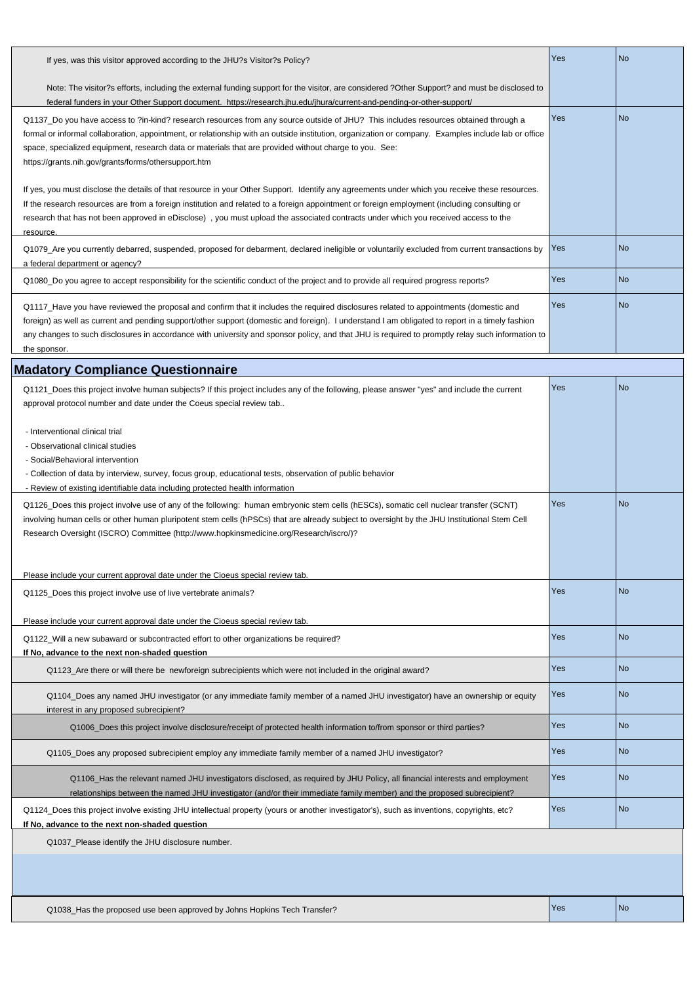| If yes, was this visitor approved according to the JHU?s Visitor?s Policy?                                                                                                                                                                                                                                                                                                                                                                                   | Yes        | No   |
|--------------------------------------------------------------------------------------------------------------------------------------------------------------------------------------------------------------------------------------------------------------------------------------------------------------------------------------------------------------------------------------------------------------------------------------------------------------|------------|------|
| Note: The visitor?s efforts, including the external funding support for the visitor, are considered ?Other Support? and must be disclosed to<br>federal funders in your Other Support document. https://research.jhu.edu/jhura/current-and-pending-or-other-support/                                                                                                                                                                                         |            |      |
| Q1137 Do you have access to ?in-kind? research resources from any source outside of JHU? This includes resources obtained through a<br>formal or informal collaboration, appointment, or relationship with an outside institution, organization or company. Examples include lab or office<br>space, specialized equipment, research data or materials that are provided without charge to you. See:<br>https://grants.nih.gov/grants/forms/othersupport.htm | <b>Yes</b> | No   |
| If yes, you must disclose the details of that resource in your Other Support. Identify any agreements under which you receive these resources.<br>If the research resources are from a foreign institution and related to a foreign appointment or foreign employment (including consulting or<br>research that has not been approved in eDisclose), you must upload the associated contracts under which you received access to the<br>resource.            |            |      |
| Q1079_Are you currently debarred, suspended, proposed for debarment, declared ineligible or voluntarily excluded from current transactions by<br>a federal department or agency?                                                                                                                                                                                                                                                                             | Yes        | l No |
| Q1080 Do you agree to accept responsibility for the scientific conduct of the project and to provide all required progress reports?                                                                                                                                                                                                                                                                                                                          | Yes        | l No |
| Q1117_Have you have reviewed the proposal and confirm that it includes the required disclosures related to appointments (domestic and<br>foreign) as well as current and pending support/other support (domestic and foreign). I understand I am obligated to report in a timely fashion<br>any changes to such disclosures in accordance with university and sponsor policy, and that JHU is required to promptly relay such information to<br>the sponsor. | Yes        | l No |
| <b>Madatory Compliance Questionnaire</b>                                                                                                                                                                                                                                                                                                                                                                                                                     |            |      |
| Q1121 Does this project involve human subjects? If this project includes any of the following, please answer "yes" and include the current<br>approval protocol number and date under the Coeus special review tab                                                                                                                                                                                                                                           | Yes        | l No |

- Interventional clinical trial

- Observational clinical studies

- Social/Behavioral intervention

- Collection of data by interview, survey, focus group, educational tests, observation of public behavior

- Review of existing identifiable data including protected health information

| Q1126_Does this project involve use of any of the following: human embryonic stem cells (hESCs), somatic cell nuclear transfer (SCNT)<br>involving human cells or other human pluripotent stem cells (hPSCs) that are already subject to oversight by the JHU Institutional Stem Cell<br>Research Oversight (ISCRO) Committee (http://www.hopkinsmedicine.org/Research/iscro/)? | Yes | N <sub>o</sub> |
|---------------------------------------------------------------------------------------------------------------------------------------------------------------------------------------------------------------------------------------------------------------------------------------------------------------------------------------------------------------------------------|-----|----------------|
| Please include your current approval date under the Cioeus special review tab.                                                                                                                                                                                                                                                                                                  |     |                |
| Q1125_Does this project involve use of live vertebrate animals?                                                                                                                                                                                                                                                                                                                 | Yes | No             |
| Please include your current approval date under the Cioeus special review tab.                                                                                                                                                                                                                                                                                                  |     |                |
| Q1122_Will a new subaward or subcontracted effort to other organizations be required?                                                                                                                                                                                                                                                                                           | Yes | No             |
| If No, advance to the next non-shaded question                                                                                                                                                                                                                                                                                                                                  |     |                |
| Q1123 Are there or will there be newforeign subrecipients which were not included in the original award?                                                                                                                                                                                                                                                                        | Yes | l No           |
| Q1104_Does any named JHU investigator (or any immediate family member of a named JHU investigator) have an ownership or equity<br>interest in any proposed subrecipient?                                                                                                                                                                                                        | Yes | l No           |
| Q1006_Does this project involve disclosure/receipt of protected health information to/from sponsor or third parties?                                                                                                                                                                                                                                                            | Yes | No             |
| Q1105_Does any proposed subrecipient employ any immediate family member of a named JHU investigator?                                                                                                                                                                                                                                                                            | Yes | <b>No</b>      |
| Q1106_Has the relevant named JHU investigators disclosed, as required by JHU Policy, all financial interests and employment<br>relationships between the named JHU investigator (and/or their immediate family member) and the proposed subrecipient?                                                                                                                           | Yes | No             |
| Q1124_Does this project involve existing JHU intellectual property (yours or another investigator's), such as inventions, copyrights, etc?<br>If No, advance to the next non-shaded question                                                                                                                                                                                    | Yes | <b>No</b>      |
| Q1037_Please identify the JHU disclosure number.                                                                                                                                                                                                                                                                                                                                |     |                |
|                                                                                                                                                                                                                                                                                                                                                                                 |     |                |
|                                                                                                                                                                                                                                                                                                                                                                                 |     |                |

Q1038\_Has the proposed use been approved by Johns Hopkins Tech Transfer? Yes No No No No No No No No No No No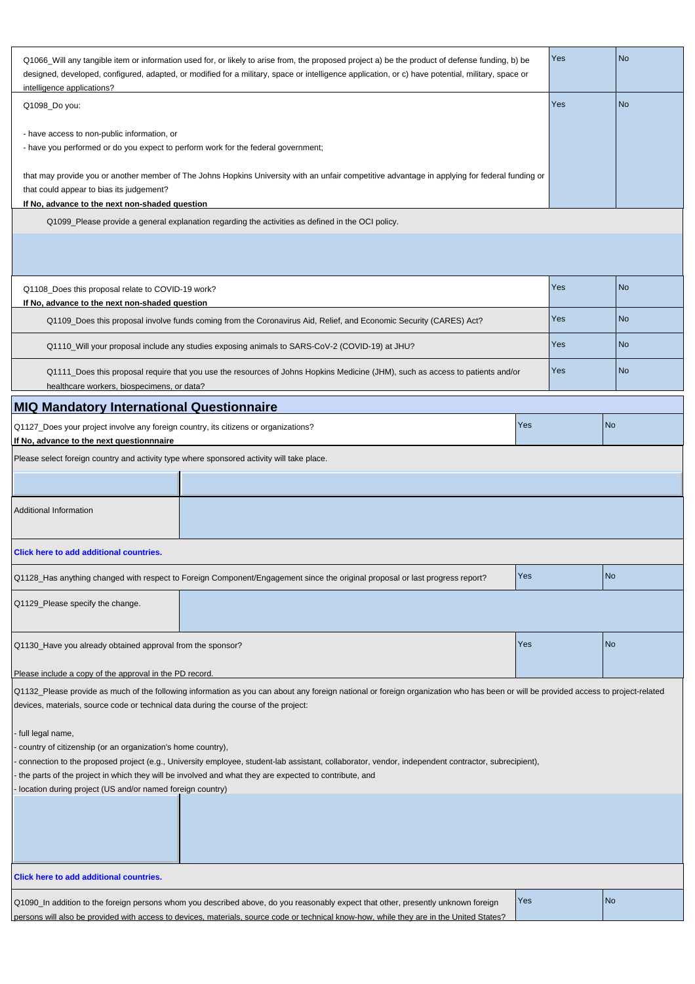| Q1066_Will any tangible item or information used for, or likely to arise from, the proposed project a) be the product of defense funding, b) be<br>designed, developed, configured, adapted, or modified for a military, space or intelligence application, or c) have potential, military, space or<br>intelligence applications? |                                                                                                                                                                                                                                                                               |     | Yes | <b>No</b> |
|------------------------------------------------------------------------------------------------------------------------------------------------------------------------------------------------------------------------------------------------------------------------------------------------------------------------------------|-------------------------------------------------------------------------------------------------------------------------------------------------------------------------------------------------------------------------------------------------------------------------------|-----|-----|-----------|
| Q1098_Do you:                                                                                                                                                                                                                                                                                                                      |                                                                                                                                                                                                                                                                               |     | Yes | <b>No</b> |
| - have access to non-public information, or<br>- have you performed or do you expect to perform work for the federal government;                                                                                                                                                                                                   |                                                                                                                                                                                                                                                                               |     |     |           |
| that could appear to bias its judgement?<br>If No, advance to the next non-shaded question                                                                                                                                                                                                                                         | that may provide you or another member of The Johns Hopkins University with an unfair competitive advantage in applying for federal funding or                                                                                                                                |     |     |           |
|                                                                                                                                                                                                                                                                                                                                    | Q1099_Please provide a general explanation regarding the activities as defined in the OCI policy.                                                                                                                                                                             |     |     |           |
|                                                                                                                                                                                                                                                                                                                                    |                                                                                                                                                                                                                                                                               |     |     |           |
| Q1108_Does this proposal relate to COVID-19 work?<br>If No, advance to the next non-shaded question                                                                                                                                                                                                                                |                                                                                                                                                                                                                                                                               |     | Yes | <b>No</b> |
|                                                                                                                                                                                                                                                                                                                                    | Q1109_Does this proposal involve funds coming from the Coronavirus Aid, Relief, and Economic Security (CARES) Act?                                                                                                                                                            |     | Yes | <b>No</b> |
|                                                                                                                                                                                                                                                                                                                                    | Q1110_Will your proposal include any studies exposing animals to SARS-CoV-2 (COVID-19) at JHU?                                                                                                                                                                                |     | Yes | <b>No</b> |
| healthcare workers, biospecimens, or data?                                                                                                                                                                                                                                                                                         | Q1111_Does this proposal require that you use the resources of Johns Hopkins Medicine (JHM), such as access to patients and/or                                                                                                                                                |     | Yes | <b>No</b> |
| <b>MIQ Mandatory International Questionnaire</b>                                                                                                                                                                                                                                                                                   |                                                                                                                                                                                                                                                                               |     |     |           |
| Q1127_Does your project involve any foreign country, its citizens or organizations?<br>If No, advance to the next questionnnaire                                                                                                                                                                                                   |                                                                                                                                                                                                                                                                               | Yes |     | <b>No</b> |
| Please select foreign country and activity type where sponsored activity will take place.                                                                                                                                                                                                                                          |                                                                                                                                                                                                                                                                               |     |     |           |
|                                                                                                                                                                                                                                                                                                                                    |                                                                                                                                                                                                                                                                               |     |     |           |
| <b>Additional Information</b>                                                                                                                                                                                                                                                                                                      |                                                                                                                                                                                                                                                                               |     |     |           |
| Click here to add additional countries.                                                                                                                                                                                                                                                                                            |                                                                                                                                                                                                                                                                               |     |     |           |
|                                                                                                                                                                                                                                                                                                                                    | Q1128_Has anything changed with respect to Foreign Component/Engagement since the original proposal or last progress report?                                                                                                                                                  | Yes |     | <b>No</b> |
| Q1129_Please specify the change.                                                                                                                                                                                                                                                                                                   |                                                                                                                                                                                                                                                                               |     |     |           |
| Q1130_Have you already obtained approval from the sponsor?                                                                                                                                                                                                                                                                         |                                                                                                                                                                                                                                                                               | Yes |     | <b>No</b> |
| Please include a copy of the approval in the PD record.                                                                                                                                                                                                                                                                            |                                                                                                                                                                                                                                                                               |     |     |           |
| devices, materials, source code or technical data during the course of the project:                                                                                                                                                                                                                                                | Q1132_Please provide as much of the following information as you can about any foreign national or foreign organization who has been or will be provided access to project-related                                                                                            |     |     |           |
| full legal name,<br>country of citizenship (or an organization's home country),<br>location during project (US and/or named foreign country)                                                                                                                                                                                       | connection to the proposed project (e.g., University employee, student-lab assistant, collaborator, vendor, independent contractor, subrecipient),<br>the parts of the project in which they will be involved and what they are expected to contribute, and                   |     |     |           |
|                                                                                                                                                                                                                                                                                                                                    |                                                                                                                                                                                                                                                                               |     |     |           |
| Click here to add additional countries.                                                                                                                                                                                                                                                                                            |                                                                                                                                                                                                                                                                               |     |     |           |
|                                                                                                                                                                                                                                                                                                                                    | Q1090_In addition to the foreign persons whom you described above, do you reasonably expect that other, presently unknown foreign<br>persons will also be provided with access to devices, materials, source code or technical know-how, while they are in the United States? | Yes |     | <b>No</b> |